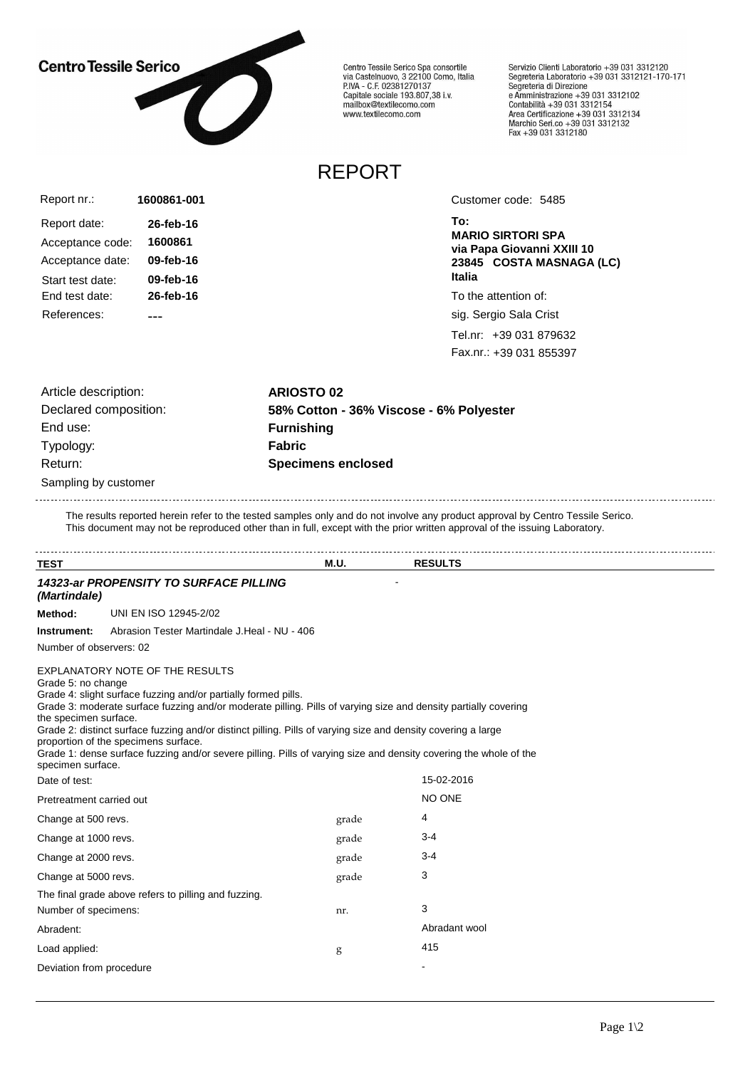## **Centro Tessile Serico**



Centro Tessile Serico Spa consortile<br>via Castelnuovo, 3 22100 Como, Italia<br>P.IVA - C.F. 02381270137 Capitale sociale 193.807,38 i.v.<br>Capitale sociale 193.807,38 i.v.<br>mailbox@textilecomo.com www.textilecomo.com

Servizio Clienti Laboratorio +39 031 3312120 Servizio che il Laboratorio +39 031 3312121-170-171<br>Segreteria Laboratorio +39 031 3312121-170-171 Segreteria di Direzione<br>e Amministrazione +39 031 3312102<br>Contabilità +39 031 3312154<br>Area Certificazione +39 031 3312134<br>Marchio Seri.co +39 031 3312132<br>Fax +39 031 3312180

## REPORT

| 1600861-001 |
|-------------|
| 26-feb-16   |
| 1600861     |
| 09-feb-16   |
| 09-feb-16   |
| 26-feb-16   |
|             |
|             |

Customer code: 5485

**To: MARIO SIRTORI SPA via Papa Giovanni XXIII 10 23845 COSTA MASNAGA (LC) Italia**

To the attention of:

sig. Sergio Sala Crist

Tel.nr: +39 031 879632 Fax.nr.: +39 031 855397

Sampling by customer Article description: **ARIOSTO 02** End use: **Furnishing** Typology: **Fabric** Return: **Specimens enclosed**

Declared composition: **58% Cotton - 36% Viscose - 6% Polyester**

The results reported herein refer to the tested samples only and do not involve any product approval by Centro Tessile Serico. This document may not be reproduced other than in full, except with the prior written approval of the issuing Laboratory.

| <b>TEST</b>                                                      |                                                                                                                                                                                                                                                                                                                                                                                                                                                                                                    | <b>M.U.</b> | <b>RESULTS</b> |  |
|------------------------------------------------------------------|----------------------------------------------------------------------------------------------------------------------------------------------------------------------------------------------------------------------------------------------------------------------------------------------------------------------------------------------------------------------------------------------------------------------------------------------------------------------------------------------------|-------------|----------------|--|
| (Martindale)                                                     | 14323-ar PROPENSITY TO SURFACE PILLING                                                                                                                                                                                                                                                                                                                                                                                                                                                             |             |                |  |
| Method:                                                          | UNI EN ISO 12945-2/02                                                                                                                                                                                                                                                                                                                                                                                                                                                                              |             |                |  |
| Instrument:                                                      | Abrasion Tester Martindale J.Heal - NU - 406                                                                                                                                                                                                                                                                                                                                                                                                                                                       |             |                |  |
| Number of observers: 02                                          |                                                                                                                                                                                                                                                                                                                                                                                                                                                                                                    |             |                |  |
| Grade 5: no change<br>the specimen surface.<br>specimen surface. | EXPLANATORY NOTE OF THE RESULTS<br>Grade 4: slight surface fuzzing and/or partially formed pills.<br>Grade 3: moderate surface fuzzing and/or moderate pilling. Pills of varying size and density partially covering<br>Grade 2: distinct surface fuzzing and/or distinct pilling. Pills of varying size and density covering a large<br>proportion of the specimens surface.<br>Grade 1: dense surface fuzzing and/or severe pilling. Pills of varying size and density covering the whole of the |             |                |  |
| Date of test:                                                    |                                                                                                                                                                                                                                                                                                                                                                                                                                                                                                    |             | 15-02-2016     |  |
| Pretreatment carried out                                         |                                                                                                                                                                                                                                                                                                                                                                                                                                                                                                    |             | NO ONE         |  |
| Change at 500 revs.                                              |                                                                                                                                                                                                                                                                                                                                                                                                                                                                                                    | grade       | 4              |  |
| Change at 1000 revs.                                             |                                                                                                                                                                                                                                                                                                                                                                                                                                                                                                    | grade       | 3-4            |  |
| Change at 2000 revs.                                             |                                                                                                                                                                                                                                                                                                                                                                                                                                                                                                    | grade       | $3 - 4$        |  |
| Change at 5000 revs.                                             |                                                                                                                                                                                                                                                                                                                                                                                                                                                                                                    | grade       | 3              |  |
|                                                                  | The final grade above refers to pilling and fuzzing.                                                                                                                                                                                                                                                                                                                                                                                                                                               |             |                |  |
| Number of specimens:                                             |                                                                                                                                                                                                                                                                                                                                                                                                                                                                                                    | nr.         | 3              |  |
| Abradent:                                                        |                                                                                                                                                                                                                                                                                                                                                                                                                                                                                                    |             | Abradant wool  |  |
| Load applied:                                                    |                                                                                                                                                                                                                                                                                                                                                                                                                                                                                                    | g           | 415            |  |
| Deviation from procedure                                         |                                                                                                                                                                                                                                                                                                                                                                                                                                                                                                    |             |                |  |